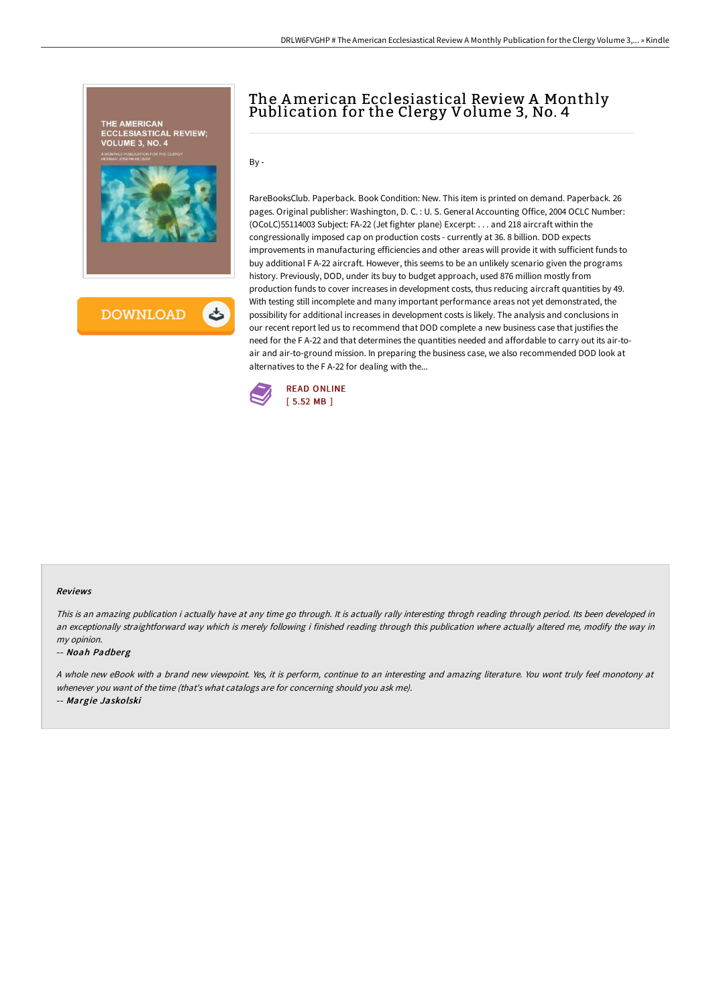

# The American Ecclesiastical Review A Monthly Publication for the Clergy Volume 3, No. 4

 $By -$ 

RareBooksClub. Paperback. Book Condition: New. This item is printed on demand. Paperback. 26 pages. Original publisher: Washington, D. C. : U. S. General Accounting Office, 2004 OCLC Number: (OCoLC)55114003 Subject: FA-22 (Jet fighter plane) Excerpt: . . . and 218 aircraft within the congressionally imposed cap on production costs - currently at 36. 8 billion. DOD expects improvements in manufacturing efficiencies and other areas will provide it with sufficient funds to buy additional F A-22 aircraft. However, this seems to be an unlikely scenario given the programs history. Previously, DOD, under its buy to budget approach, used 876 million mostly from production funds to cover increases in development costs, thus reducing aircraft quantities by 49. With testing still incomplete and many important performance areas not yet demonstrated, the possibility for additional increases in development costs is likely. The analysis and conclusions in our recent report led us to recommend that DOD complete a new business case that justifies the need for the F A-22 and that determines the quantities needed and affordable to carry out its air-toair and air-to-ground mission. In preparing the business case, we also recommended DOD look at alternatives to the F A-22 for dealing with the...



#### Reviews

This is an amazing publication i actually have at any time go through. It is actually rally interesting throgh reading through period. Its been developed in an exceptionally straightforward way which is merely following i finished reading through this publication where actually altered me, modify the way in my opinion.

#### -- Noah Padberg

<sup>A</sup> whole new eBook with <sup>a</sup> brand new viewpoint. Yes, it is perform, continue to an interesting and amazing literature. You wont truly feel monotony at whenever you want of the time (that's what catalogs are for concerning should you ask me).

-- Margie Jaskolski